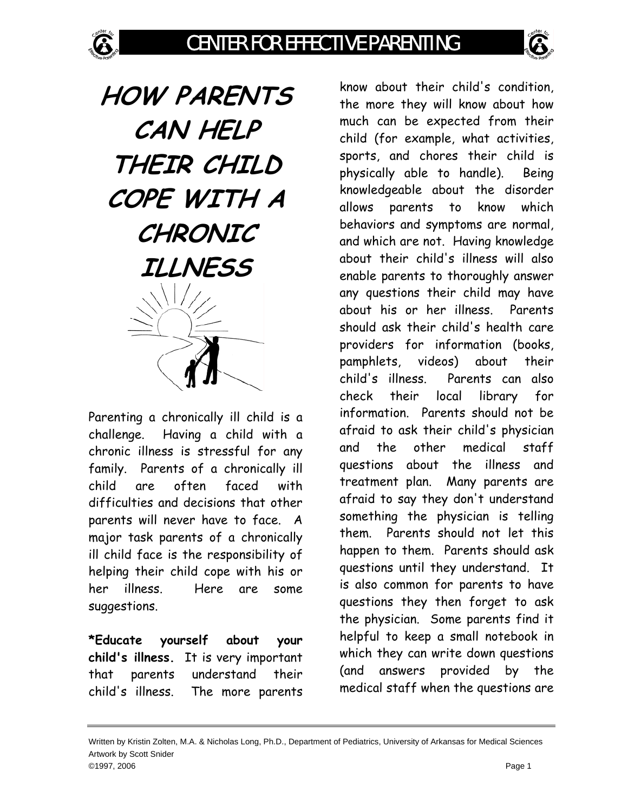



**HOW PARENTS CAN HELP THEIR CHILD COPE WITH A CHRONIC ILLNESS**

Parenting a chronically ill child is a challenge. Having a child with a chronic illness is stressful for any family. Parents of a chronically ill child are often faced with difficulties and decisions that other parents will never have to face. A major task parents of a chronically ill child face is the responsibility of helping their child cope with his or her illness. Here are some suggestions.

**\*Educate yourself about your child's illness.** It is very important that parents understand their child's illness. The more parents know about their child's condition, the more they will know about how much can be expected from their child (for example, what activities, sports, and chores their child is physically able to handle). Being knowledgeable about the disorder allows parents to know which behaviors and symptoms are normal, and which are not. Having knowledge about their child's illness will also enable parents to thoroughly answer any questions their child may have about his or her illness. Parents should ask their child's health care providers for information (books, pamphlets, videos) about their child's illness. Parents can also check their local library for information. Parents should not be afraid to ask their child's physician and the other medical staff questions about the illness and treatment plan. Many parents are afraid to say they don't understand something the physician is telling them. Parents should not let this happen to them. Parents should ask questions until they understand. It is also common for parents to have questions they then forget to ask the physician. Some parents find it helpful to keep a small notebook in which they can write down questions (and answers provided by the medical staff when the questions are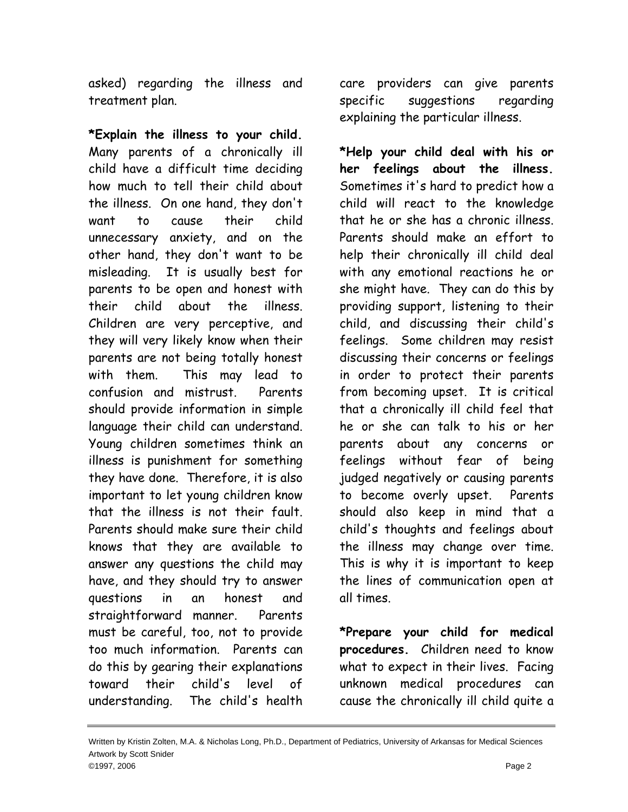asked) regarding the illness and treatment plan.

**\*Explain the illness to your child.** Many parents of a chronically ill child have a difficult time deciding how much to tell their child about the illness. On one hand, they don't want to cause their child unnecessary anxiety, and on the other hand, they don't want to be misleading. It is usually best for parents to be open and honest with their child about the illness. Children are very perceptive, and they will very likely know when their parents are not being totally honest with them. This may lead to confusion and mistrust. Parents should provide information in simple language their child can understand. Young children sometimes think an illness is punishment for something they have done. Therefore, it is also important to let young children know that the illness is not their fault. Parents should make sure their child knows that they are available to answer any questions the child may have, and they should try to answer questions in an honest and straightforward manner. Parents must be careful, too, not to provide too much information. Parents can do this by gearing their explanations toward their child's level of understanding. The child's health

care providers can give parents specific suggestions regarding explaining the particular illness.

**\*Help your child deal with his or her feelings about the illness.** Sometimes it's hard to predict how a child will react to the knowledge that he or she has a chronic illness. Parents should make an effort to help their chronically ill child deal with any emotional reactions he or she might have. They can do this by providing support, listening to their child, and discussing their child's feelings. Some children may resist discussing their concerns or feelings in order to protect their parents from becoming upset. It is critical that a chronically ill child feel that he or she can talk to his or her parents about any concerns or feelings without fear of being judged negatively or causing parents to become overly upset. Parents should also keep in mind that a child's thoughts and feelings about the illness may change over time. This is why it is important to keep the lines of communication open at all times.

**\*Prepare your child for medical procedures.** Children need to know what to expect in their lives. Facing unknown medical procedures can cause the chronically ill child quite a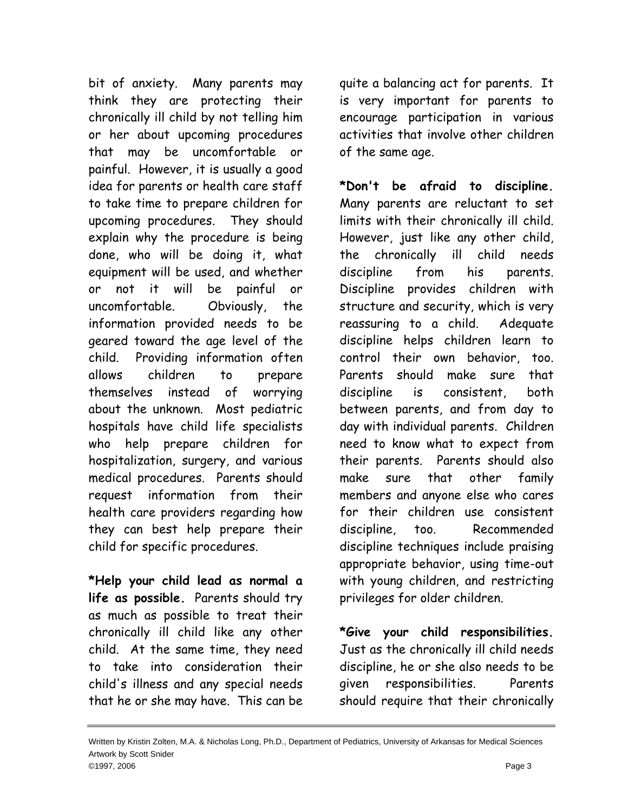bit of anxiety. Many parents may think they are protecting their chronically ill child by not telling him or her about upcoming procedures that may be uncomfortable or painful. However, it is usually a good idea for parents or health care staff to take time to prepare children for upcoming procedures. They should explain why the procedure is being done, who will be doing it, what equipment will be used, and whether or not it will be painful or uncomfortable. Obviously, the information provided needs to be geared toward the age level of the child. Providing information often allows children to prepare themselves instead of worrying about the unknown. Most pediatric hospitals have child life specialists who help prepare children for hospitalization, surgery, and various medical procedures. Parents should request information from their health care providers regarding how they can best help prepare their child for specific procedures.

**\*Help your child lead as normal a life as possible.** Parents should try as much as possible to treat their chronically ill child like any other child. At the same time, they need to take into consideration their child's illness and any special needs that he or she may have. This can be

quite a balancing act for parents. It is very important for parents to encourage participation in various activities that involve other children of the same age.

**\*Don't be afraid to discipline.** Many parents are reluctant to set limits with their chronically ill child. However, just like any other child, the chronically ill child needs discipline from his parents. Discipline provides children with structure and security, which is very reassuring to a child. Adequate discipline helps children learn to control their own behavior, too. Parents should make sure that discipline is consistent, both between parents, and from day to day with individual parents. Children need to know what to expect from their parents. Parents should also make sure that other family members and anyone else who cares for their children use consistent discipline, too. Recommended discipline techniques include praising appropriate behavior, using time-out with young children, and restricting privileges for older children.

**\*Give your child responsibilities.** Just as the chronically ill child needs discipline, he or she also needs to be given responsibilities. Parents should require that their chronically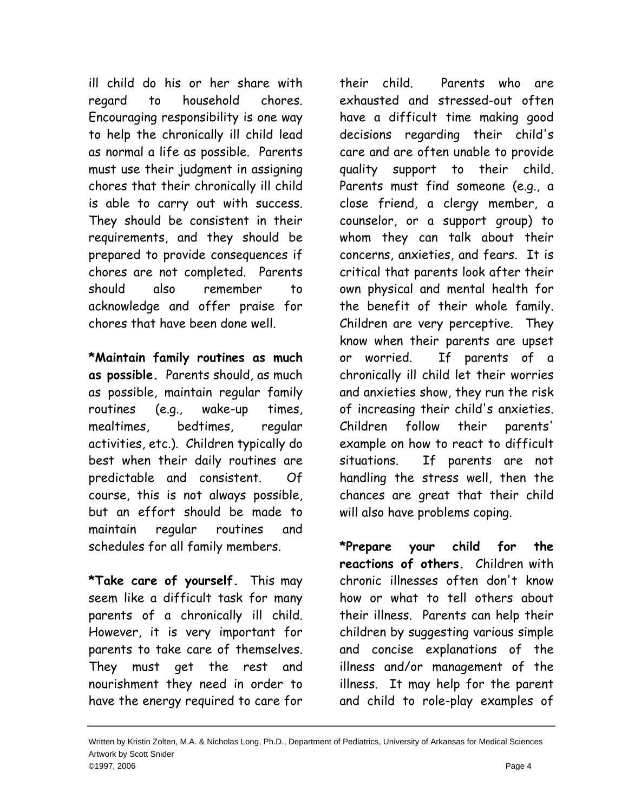ill child do his or her share with regard to household chores. Encouraging responsibility is one way to help the chronically ill child lead as normal a life as possible. Parents must use their judgment in assigning chores that their chronically ill child is able to carry out with success. They should be consistent in their requirements, and they should be prepared to provide consequences if chores are not completed. Parents should also remember to acknowledge and offer praise for chores that have been done well.

**\*Maintain family routines as much as possible.** Parents should, as much as possible, maintain regular family routines (e.g., wake-up times, mealtimes, bedtimes, regular activities, etc.). Children typically do best when their daily routines are predictable and consistent. Of course, this is not always possible, but an effort should be made to maintain regular routines and schedules for all family members.

**\*Take care of yourself.** This may seem like a difficult task for many parents of a chronically ill child. However, it is very important for parents to take care of themselves. They must get the rest and nourishment they need in order to have the energy required to care for

their child. Parents who are exhausted and stressed-out often have a difficult time making good decisions regarding their child's care and are often unable to provide quality support to their child. Parents must find someone (e.g., a close friend, a clergy member, a counselor, or a support group) to whom they can talk about their concerns, anxieties, and fears. It is critical that parents look after their own physical and mental health for the benefit of their whole family. Children are very perceptive. They know when their parents are upset or worried. If parents of a chronically ill child let their worries and anxieties show, they run the risk of increasing their child's anxieties. Children follow their parents' example on how to react to difficult situations. If parents are not handling the stress well, then the chances are great that their child will also have problems coping.

**\*Prepare your child for the reactions of others.** Children with chronic illnesses often don't know how or what to tell others about their illness. Parents can help their children by suggesting various simple and concise explanations of the illness and/or management of the illness. It may help for the parent and child to role-play examples of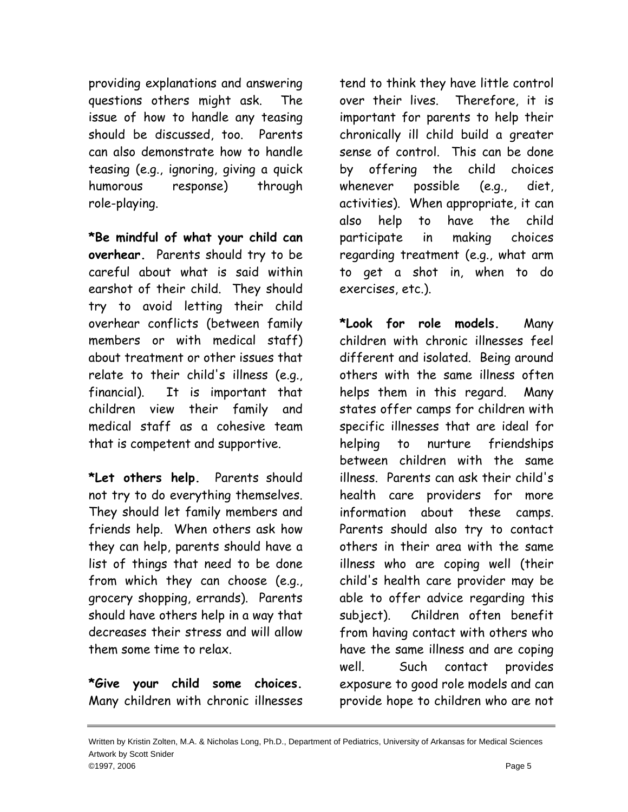providing explanations and answering questions others might ask. The issue of how to handle any teasing should be discussed, too. Parents can also demonstrate how to handle teasing (e.g., ignoring, giving a quick humorous response) through role-playing.

**\*Be mindful of what your child can overhear.** Parents should try to be careful about what is said within earshot of their child. They should try to avoid letting their child overhear conflicts (between family members or with medical staff) about treatment or other issues that relate to their child's illness (e.g., financial). It is important that children view their family and medical staff as a cohesive team that is competent and supportive.

**\*Let others help.** Parents should not try to do everything themselves. They should let family members and friends help. When others ask how they can help, parents should have a list of things that need to be done from which they can choose (e.g., grocery shopping, errands). Parents should have others help in a way that decreases their stress and will allow them some time to relax.

**\*Give your child some choices.** Many children with chronic illnesses tend to think they have little control over their lives. Therefore, it is important for parents to help their chronically ill child build a greater sense of control. This can be done by offering the child choices whenever possible (e.g., diet, activities). When appropriate, it can also help to have the child participate in making choices regarding treatment (e.g., what arm to get a shot in, when to do exercises, etc.).

**\*Look for role models.** Many children with chronic illnesses feel different and isolated. Being around others with the same illness often helps them in this regard. Many states offer camps for children with specific illnesses that are ideal for helping to nurture friendships between children with the same illness. Parents can ask their child's health care providers for more information about these camps. Parents should also try to contact others in their area with the same illness who are coping well (their child's health care provider may be able to offer advice regarding this subject). Children often benefit from having contact with others who have the same illness and are coping well. Such contact provides exposure to good role models and can provide hope to children who are not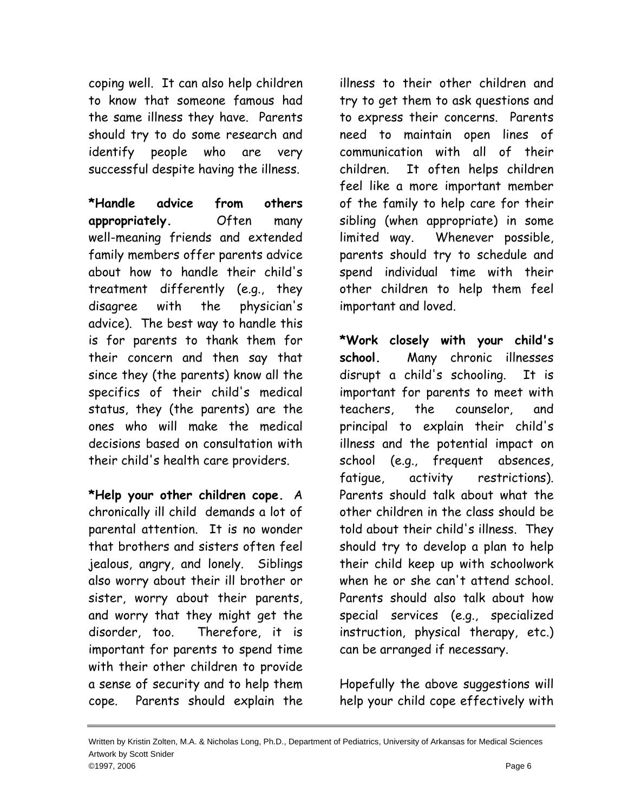coping well. It can also help children to know that someone famous had the same illness they have. Parents should try to do some research and identify people who are very successful despite having the illness.

**\*Handle advice from others appropriately.** Often many well-meaning friends and extended family members offer parents advice about how to handle their child's treatment differently (e.g., they disagree with the physician's advice). The best way to handle this is for parents to thank them for their concern and then say that since they (the parents) know all the specifics of their child's medical status, they (the parents) are the ones who will make the medical decisions based on consultation with their child's health care providers.

**\*Help your other children cope.** A chronically ill child demands a lot of parental attention. It is no wonder that brothers and sisters often feel jealous, angry, and lonely. Siblings also worry about their ill brother or sister, worry about their parents, and worry that they might get the disorder, too. Therefore, it is important for parents to spend time with their other children to provide a sense of security and to help them cope. Parents should explain the illness to their other children and try to get them to ask questions and to express their concerns. Parents need to maintain open lines of communication with all of their children. It often helps children feel like a more important member of the family to help care for their sibling (when appropriate) in some limited way. Whenever possible, parents should try to schedule and spend individual time with their other children to help them feel important and loved.

**\*Work closely with your child's school.** Many chronic illnesses disrupt a child's schooling. It is important for parents to meet with teachers, the counselor, and principal to explain their child's illness and the potential impact on school (e.g., frequent absences, fatigue, activity restrictions). Parents should talk about what the other children in the class should be told about their child's illness. They should try to develop a plan to help their child keep up with schoolwork when he or she can't attend school. Parents should also talk about how special services (e.g., specialized instruction, physical therapy, etc.) can be arranged if necessary.

Hopefully the above suggestions will help your child cope effectively with